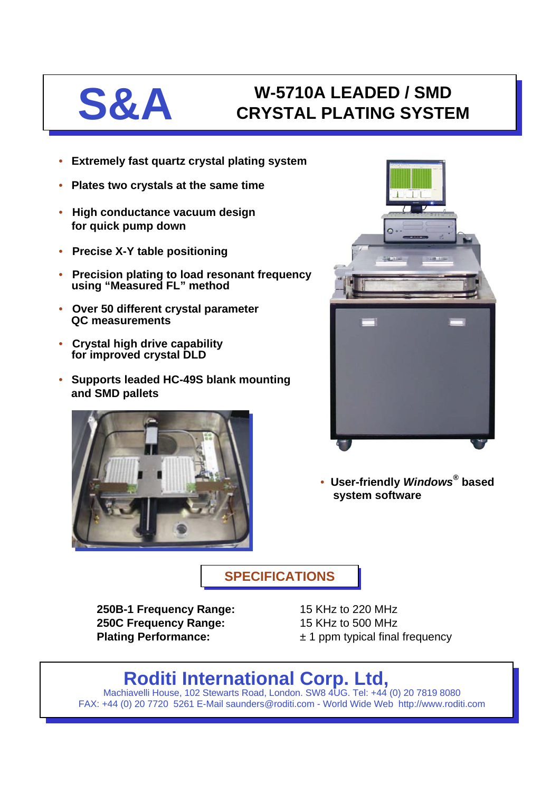# **S&A** W-5710A LEADED / SMD<br>CRYSTAL PLATING SYSTE **CRYSTAL PLATING SYSTEM**

- **Extremely fast quartz crystal plating system**
- **Plates two crystals at the same time**
- **High conductance vacuum design for quick pump down**
- **Precise X-Y table positioning**
- **Precision plating to load resonant frequency using "Measured FL" method**
- **Over 50 different crystal parameter QC measurements**
- **Crystal high drive capability for improved crystal DLD**
- **Supports leaded HC-49S blank mounting and SMD pallets**





• **User-friendly** *Windows®* **based system software**

**SPECIFICATIONS SPECIFICATIONS**

**250B-1 Frequency Range:** 15 KHz to 220 MHz **250C Frequency Range:** 15 KHz to 500 MHz

**Plating Performance:**  $\pm 1$  ppm typical final frequency

# **Roditi International Corp. Ltd,**

Machiavelli House, 102 Stewarts Road, London. SW8 4UG. Tel: +44 (0) 20 7819 8080 FAX: +44 (0) 20 7720 5261 E-Mail saunders@roditi.com - World Wide Web http://www.roditi.com